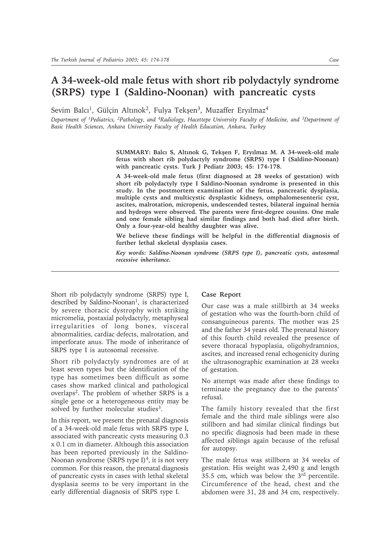## **A 34-week-old male fetus with short rib polydactyly syndrome (SRPS) type I (Saldino-Noonan) with pancreatic cysts**

Sevim Balcı<sup>1</sup>, Gülçin Altınok<sup>2</sup>, Fulya Tekşen<sup>3</sup>, Muzaffer Eryılmaz<sup>4</sup>

*Department of 1Pediatrics, 2Pathology, and 4Radiology, Hacettepe University Faculty of Medicine, and 3Department of Basic Health Sciences, Ankara University Faculty of Health Education, Ankara, Turkey*

> SUMMARY: Balci S, Altinok G, Tekşen F, Eryilmaz M. A 34-week-old male **fetus with short rib polydactyly syndrome (SRPS) type I (Saldino-Noonan) with pancreatic cysts. Turk J Pediatr 2003; 45: 174-178.**

> **A 34-week-old male fetus (first diagnosed at 28 weeks of gestation) with short rib polydactyly type I Saldino-Noonan syndrome is presented in this study. In the postmortem examination of the fetus, pancreatic dysplasia, multiple cysts and multicystic dysplastic kidneys, omphalomesenteric cyst, ascites, malrotation, micropenis, undescended testes, bilateral inguinal hernia and hydrops were observed. The parents were first-degree cousins. One male and one female sibling had similar findings and both had died after birth. Only a four-year-old healthy daughter was alive.**

> **We believe these findings will be helpful in the differential diagnosis of further lethal skeletal dysplasia cases.**

> *Key words: Saldino-Noonan syndrome (SRPS type I), pancreatic cysts, autosomal recessive inheritance.*

Short rib polydactyly syndrome (SRPS) type I, described by Saldino-Noonan<sup>1</sup>, is characterized by severe thoracic dystrophy with striking micromelia, postaxial polydactyly, metaphyseal irregularities of long bones, visceral abnormalities, cardiac defects, malrotation, and imperforate anus. The mode of inheritance of SRPS type I is autosomal recessive.

Short rib polydactyly syndromes are of at least seven types but the identification of the type has sometimes been difficult as some cases show marked clinical and pathological overlaps2. The problem of whether SRPS is a single gene or a heterogeneous entity may be solved by further molecular studies<sup>3</sup>.

In this report, we present the prenatal diagnosis of a 34-week-old male fetus with SRPS type I, associated with pancreatic cysts measuring 0.3 x 0.1 cm in diameter. Although this association has been reported previously in the Saldino-Noonan syndrome (SRPS type I)<sup>4</sup>, it is not very common. For this reason, the prenatal diagnosis of pancreatic cysts in cases with lethal skeletal dysplasia seems to be very important in the early differential diagnosis of SRPS type I.

## **Case Report**

Our case was a male stillbirth at 34 weeks of gestation who was the fourth-born child of consanguineous parents. The mother was 25 and the father 34 years old. The prenatal history of this fourth child revealed the presence of severe thoracal hypoplasia, oligohydramnios, ascites, and increased renal echogenicity during the ultrasonographic examination at 28 weeks of gestation.

No attempt was made after these findings to terminate the pregnancy due to the parents' refusal.

The family history revealed that the first female and the third male siblings were also stillborn and had similar clinical findings but no specific diagnosis had been made in these affected siblings again because of the refusal for autopsy.

The male fetus was stillborn at 34 weeks of gestation. His weight was 2,490 g and length 35.5 cm, which was below the 3rd percentile. Circumference of the head, chest and the abdomen were 31, 28 and 34 cm, respectively.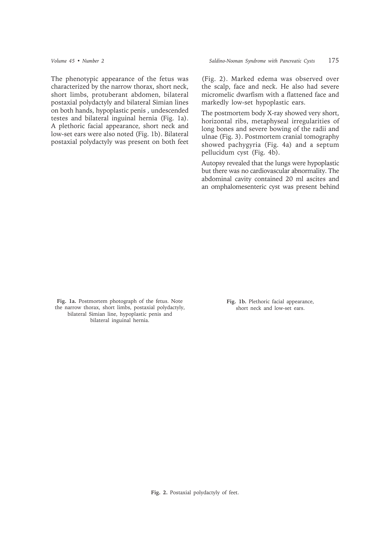The phenotypic appearance of the fetus was characterized by the narrow thorax, short neck, short limbs, protuberant abdomen, bilateral postaxial polydactyly and bilateral Simian lines on both hands, hypoplastic penis , undescended testes and bilateral inguinal hernia (Fig. 1a). A plethoric facial appearance, short neck and low-set ears were also noted (Fig. 1b). Bilateral postaxial polydactyly was present on both feet

(Fig. 2). Marked edema was observed over the scalp, face and neck. He also had severe micromelic dwarfism with a flattened face and markedly low-set hypoplastic ears.

The postmortem body X-ray showed very short, horizontal ribs, metaphyseal irregularities of long bones and severe bowing of the radii and ulnae (Fig. 3). Postmortem cranial tomography showed pachygyria (Fig. 4a) and a septum pellucidum cyst (Fig. 4b).

Autopsy revealed that the lungs were hypoplastic but there was no cardiovascular abnormality. The abdominal cavity contained 20 ml ascites and an omphalomesenteric cyst was present behind

**Fig. 1a.** Postmortem photograph of the fetus. Note the narrow thorax, short limbs, postaxial polydactyly, bilateral Simian line, hypoplastic penis and bilateral inguinal hernia.

**Fig. 1b.** Plethoric facial appearance, short neck and low-set ears.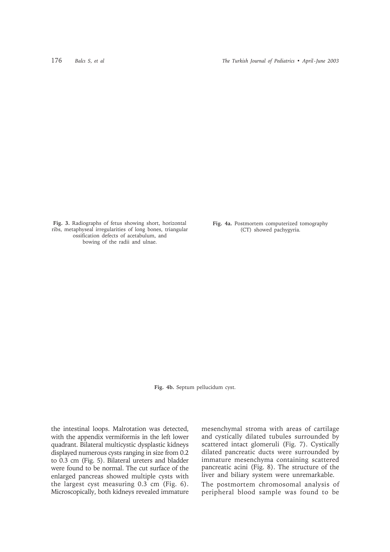**Fig. 3.** Radiographs of fetus showing short, horizontal ribs, metaphyseal irregularities of long bones, triangular ossification defects of acetabulum, and bowing of the radii and ulnae.

**Fig. 4a.** Postmortem computerized tomography (CT) showed pachygyria.

**Fig. 4b.** Septum pellucidum cyst.

the intestinal loops. Malrotation was detected, with the appendix vermiformis in the left lower quadrant. Bilateral multicystic dysplastic kidneys displayed numerous cysts ranging in size from 0.2 to 0.3 cm (Fig. 5). Bilateral ureters and bladder were found to be normal. The cut surface of the enlarged pancreas showed multiple cysts with the largest cyst measuring 0.3 cm (Fig. 6). Microscopically, both kidneys revealed immature mesenchymal stroma with areas of cartilage and cystically dilated tubules surrounded by scattered intact glomeruli (Fig. 7). Cystically dilated pancreatic ducts were surrounded by immature mesenchyma containing scattered pancreatic acini (Fig. 8). The structure of the liver and biliary system were unremarkable.

The postmortem chromosomal analysis of peripheral blood sample was found to be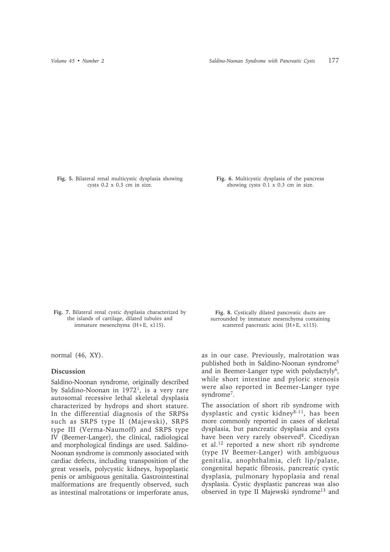**Fig. 5.** Bilateral renal multicystic dysplasia showing cysts 0.2 x 0.3 cm in size.

**Fig. 6.** Multicystic dysplasia of the pancreas showing cysts 0.1 x 0.3 cm in size.

**Fig. 7.** Bilateral renal cystic dysplasia characterized by the islands of cartilage, dilated tubules and immature mesenchyma (H+E, x115).

normal (46, XY).

## **Discussion**

Saldino-Noonan syndrome, originally described by Saldino-Noonan in 19721, is a very rare autosomal recessive lethal skeletal dysplasia characterized by hydrops and short stature. In the differential diagnosis of the SRPSs such as SRPS type II (Majewski), SRPS type III (Verma-Naumoff) and SRPS type IV (Beemer-Langer), the clinical, radiological and morphological findings are used. Saldino-Noonan syndrome is commonly associated with cardiac defects, including transposition of the great vessels, polycystic kidneys, hypoplastic penis or ambiguous genitalia. Gastrointestinal malformations are frequently observed, such as intestinal malrotations or imperforate anus,

**Fig. 8.** Cystically dilated pancreatic ducts are surrounded by immature mesenchyma containing scattered pancreatic acini (H+E, x115).

as in our case. Previously, malrotation was published both in Saldino-Noonan syndrome5 and in Beemer-Langer type with polydactyly<sup>6</sup>, while short intestine and pyloric stenosis were also reported in Beemer-Langer type syndrome7.

The association of short rib syndrome with dysplastic and cystic kidney<sup>8-11</sup>, has been more commonly reported in cases of skeletal dysplasia, but pancreatic dysplasia and cysts have been very rarely observed<sup>8</sup>. Cicediyan et al.12 reported a new short rib syndrome (type IV Beemer-Langer) with ambiguous genitalia, anophthalmia, cleft lip/palate, congenital hepatic fibrosis, pancreatic cystic dysplasia, pulmonary hypoplasia and renal dysplasia. Cystic dysplastic pancreas was also observed in type II Majewski syndrome13 and